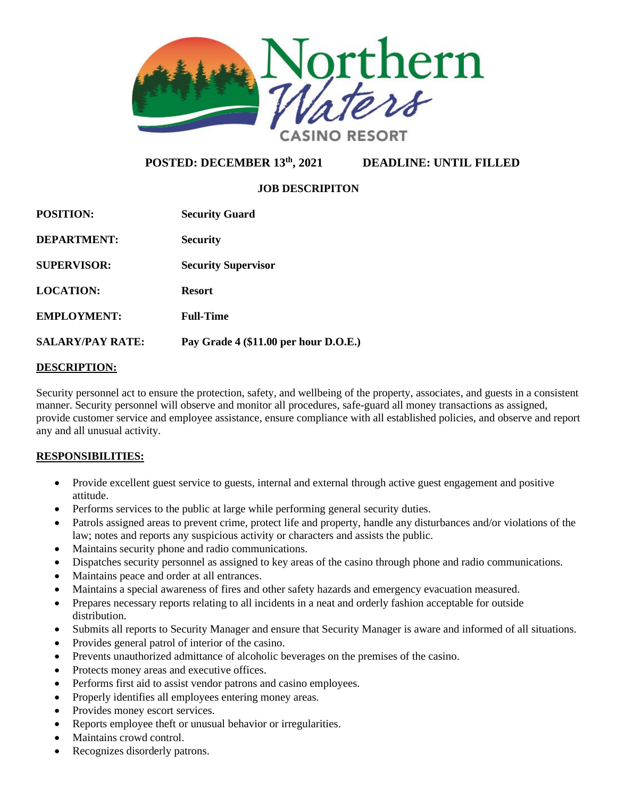

# **POSTED: DECEMBER 13th**

**DEADLINE: UNTIL FILLED** 

### **JOB DESCRIPITON**

| <b>POSITION:</b>        | <b>Security Guard</b>                 |
|-------------------------|---------------------------------------|
| DEPARTMENT:             | <b>Security</b>                       |
| <b>SUPERVISOR:</b>      | <b>Security Supervisor</b>            |
| <b>LOCATION:</b>        | <b>Resort</b>                         |
| <b>EMPLOYMENT:</b>      | <b>Full-Time</b>                      |
| <b>SALARY/PAY RATE:</b> | Pay Grade 4 (\$11.00 per hour D.O.E.) |

#### **DESCRIPTION:**

Security personnel act to ensure the protection, safety, and wellbeing of the property, associates, and guests in a consistent manner. Security personnel will observe and monitor all procedures, safe-guard all money transactions as assigned, provide customer service and employee assistance, ensure compliance with all established policies, and observe and report any and all unusual activity.

#### **RESPONSIBILITIES:**

- Provide excellent guest service to guests, internal and external through active guest engagement and positive attitude.
- Performs services to the public at large while performing general security duties.
- Patrols assigned areas to prevent crime, protect life and property, handle any disturbances and/or violations of the law; notes and reports any suspicious activity or characters and assists the public.
- Maintains security phone and radio communications.
- Dispatches security personnel as assigned to key areas of the casino through phone and radio communications.
- Maintains peace and order at all entrances.
- Maintains a special awareness of fires and other safety hazards and emergency evacuation measured.
- Prepares necessary reports relating to all incidents in a neat and orderly fashion acceptable for outside distribution.
- Submits all reports to Security Manager and ensure that Security Manager is aware and informed of all situations.
- Provides general patrol of interior of the casino.
- Prevents unauthorized admittance of alcoholic beverages on the premises of the casino.
- Protects money areas and executive offices.
- Performs first aid to assist vendor patrons and casino employees.
- Properly identifies all employees entering money areas.
- Provides money escort services.
- Reports employee theft or unusual behavior or irregularities.
- Maintains crowd control.
- Recognizes disorderly patrons.